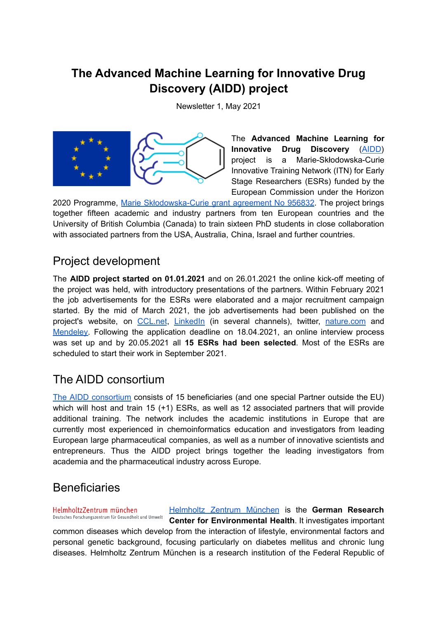## **The Advanced Machine Learning for Innovative Drug Discovery (AIDD) project**

Newsletter 1, May 2021



The **Advanced Machine Learning for Innovative Drug Discovery** ([AIDD\)](https://ai-dd.eu) project is a Marie-Skłodowska-Curie Innovative Training Network (ITN) for Early Stage Researchers (ESRs) funded by the European Commission under the Horizon

2020 Programme, Marie [Skłodowska-Curie](http://cordis.europa.eu/project/id/956832) grant agreement No 956832. The project brings together fifteen academic and industry partners from ten European countries and the University of British Columbia (Canada) to train sixteen PhD students in close collaboration with associated partners from the USA, Australia, China, Israel and further countries.

### Project development

The **AIDD project started on 01.01.2021** and on 26.01.2021 the online kick-off meeting of the project was held, with introductory presentations of the partners. Within February 2021 the job advertisements for the ESRs were elaborated and a major recruitment campaign started. By the mid of March 2021, the job advertisements had been published on the project's website, on [CCL.net](http://www.ccl.net/cca/jobs/joblist/mess0053939.shtml), [LinkedIn](https://www.linkedin.com/jobs/view/2443203197) (in several channels), twitter, [nature.com](https://www.nature.com/naturecareers/job/15-phd-positions-development-of-one-chemistry-unified-and-interpretable-deep-neural-networks-model-for-drug-discovery-helmholtz-zentrum-munchen-german-research-center-for-environmental-health-hmgu-737900) and [Mendeley.](https://www.mendeley.com/careers/job/phd-positions-aidd-h2020-msca-itn-2020-project-development-interpretable-deep-neural-networks) Following the application deadline on 18.04.2021, an online interview process was set up and by 20.05.2021 all **15 ESRs had been selected**. Most of the ESRs are scheduled to start their work in September 2021.

## The AIDD consortium

The AIDD [consortium](https://ai-dd.eu/partners) consists of 15 beneficiaries (and one special Partner outside the EU) which will host and train 15 (+1) ESRs, as well as 12 associated partners that will provide additional training. The network includes the academic institutions in Europe that are currently most experienced in chemoinformatics education and investigators from leading European large pharmaceutical companies, as well as a number of innovative scientists and entrepreneurs. Thus the AIDD project brings together the leading investigators from academia and the pharmaceutical industry across Europe.

### **Beneficiaries**

[Helmholtz](https://www.helmholtz-muenchen.de/helmholtz-zentrum-muenchen/index.html) Zentrum München is the **German Research** HelmholtzZentrum münchen Deutsches Forschungszentrum für Gesundheit und Umwelt **Center for Environmental Health**. It investigates important common diseases which develop from the interaction of lifestyle, environmental factors and personal genetic background, focusing particularly on diabetes mellitus and chronic lung diseases. Helmholtz Zentrum München is a research institution of the Federal Republic of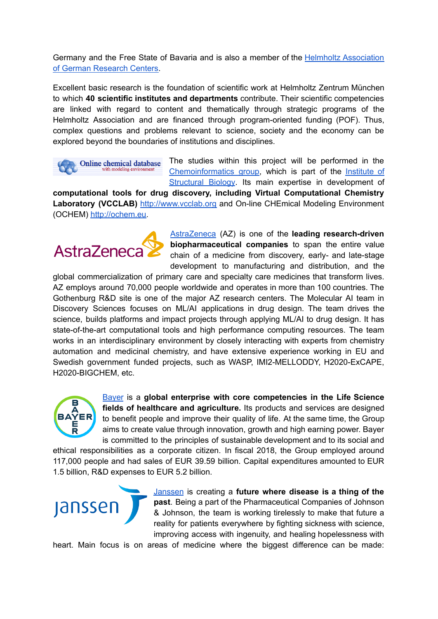Germany and the Free State of Bavaria and is also a member of the **Helmholtz [Association](http://www.helmholtz.de/)** of German [Research](http://www.helmholtz.de/) Centers.

Excellent basic research is the foundation of scientific work at Helmholtz Zentrum München to which **40 scientific institutes and departments** contribute. Their scientific competencies are linked with regard to content and thematically through strategic programs of the Helmholtz Association and are financed through program-oriented funding (POF). Thus, complex questions and problems relevant to science, society and the economy can be explored beyond the boundaries of institutions and disciplines.



The studies within this project will be performed in the [Chemoinformatics](http://www.helmholtz-muenchen.de/en/stb/research/groups/research-group-tetko) group, which is part of the [Institute](http://www.helmholtz-muenchen.de/en/stb) of [Structural](http://www.helmholtz-muenchen.de/en/stb) Biology. Its main expertise in development of

**computational tools for drug discovery, including Virtual Computational Chemistry** Laboratory (VCCLAB) [http://www.vcclab.org](http://www.vcclab.org/) and On-line CHEmical Modeling Environment (OCHEM) [http://ochem.eu](http://ochem.eu/).

# AstraZeneca

[AstraZeneca](https://www.astrazeneca.com/) (AZ) is one of the **leading research-driven biopharmaceutical companies** to span the entire value chain of a medicine from discovery, early- and late-stage development to manufacturing and distribution, and the

global commercialization of primary care and specialty care medicines that transform lives. AZ employs around 70,000 people worldwide and operates in more than 100 countries. The Gothenburg R&D site is one of the major AZ research centers. The Molecular AI team in Discovery Sciences focuses on ML/AI applications in drug design. The team drives the science, builds platforms and impact projects through applying ML/AI to drug design. It has state-of-the-art computational tools and high performance computing resources. The team works in an interdisciplinary environment by closely interacting with experts from chemistry automation and medicinal chemistry, and have extensive experience working in EU and Swedish government funded projects, such as WASP, IMI2-MELLODDY, H2020-ExCAPE, H2020-BIGCHEM, etc.



[Bayer](https://www.bayer.com/en/) is a **global enterprise with core competencies in the Life Science fields of healthcare and agriculture.** Its products and services are designed to benefit people and improve their quality of life. At the same time, the Group aims to create value through innovation, growth and high earning power. Bayer is committed to the principles of sustainable development and to its social and

ethical responsibilities as a corporate citizen. In fiscal 2018, the Group employed around 117,000 people and had sales of EUR 39.59 billion. Capital expenditures amounted to EUR 1.5 billion, R&D expenses to EUR 5.2 billion.



[Janssen](https://www.janssen.com/) is creating a **future where disease is a thing of the past**. Being a part of the Pharmaceutical Companies of Johnson & Johnson, the team is working tirelessly to make that future a reality for patients everywhere by fighting sickness with science, improving access with ingenuity, and healing hopelessness with

heart. Main focus is on areas of medicine where the biggest difference can be made: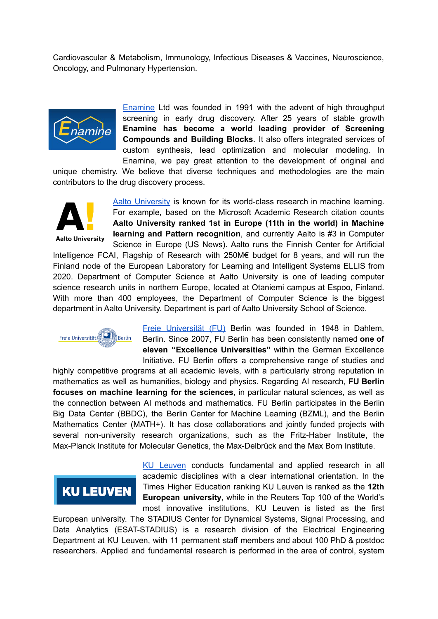Cardiovascular & Metabolism, Immunology, Infectious Diseases & Vaccines, Neuroscience, Oncology, and Pulmonary Hypertension.



[Enamine](http://www.enamine.net/) Ltd was founded in 1991 with the advent of high throughput screening in early drug discovery. After 25 years of stable growth **Enamine has become a world leading provider of Screening Compounds and Building Blocks**. It also offers integrated services of custom synthesis, lead optimization and molecular modeling. In Enamine, we pay great attention to the development of original and

unique chemistry. We believe that diverse techniques and methodologies are the main contributors to the drug discovery process.



Aalto [University](https://www.aalto.fi/en) is known for its world-class research in machine learning. For example, based on the Microsoft Academic Research citation counts **Aalto University ranked 1st in Europe (11th in the world) in Machine learning and Pattern recognition**, and currently Aalto is #3 in Computer Science in Europe (US News). Aalto runs the Finnish Center for Artificial

Intelligence FCAI, Flagship of Research with 250M€ budget for 8 years, and will run the Finland node of the European Laboratory for Learning and Intelligent Systems ELLIS from 2020. Department of Computer Science at Aalto University is one of leading computer science research units in northern Europe, located at Otaniemi campus at Espoo, Finland. With more than 400 employees, the Department of Computer Science is the biggest department in Aalto University. Department is part of Aalto University School of Science.



Freie [Universität](https://www.fu-berlin.de/) (FU) Berlin was founded in 1948 in Dahlem, Berlin. Since 2007, FU Berlin has been consistently named **one of eleven "Excellence Universities''** within the German Excellence Initiative. FU Berlin offers a comprehensive range of studies and

highly competitive programs at all academic levels, with a particularly strong reputation in mathematics as well as humanities, biology and physics. Regarding AI research, **FU Berlin focuses on machine learning for the sciences**, in particular natural sciences, as well as the connection between AI methods and mathematics. FU Berlin participates in the Berlin Big Data Center (BBDC), the Berlin Center for Machine Learning (BZML), and the Berlin Mathematics Center (MATH+). It has close collaborations and jointly funded projects with several non-university research organizations, such as the Fritz-Haber Institute, the Max-Planck Institute for Molecular Genetics, the Max-Delbrück and the Max Born Institute.

## **KU LEUVEN**

KU [Leuven](https://www.kuleuven.be/english/) conducts fundamental and applied research in all academic disciplines with a clear international orientation. In the Times Higher Education ranking KU Leuven is ranked as the **12th European university**, while in the Reuters Top 100 of the World's most innovative institutions, KU Leuven is listed as the first

European university. The STADIUS Center for Dynamical Systems, Signal Processing, and Data Analytics (ESAT-STADIUS) is a research division of the Electrical Engineering Department at KU Leuven, with 11 permanent staff members and about 100 PhD & postdoc researchers. Applied and fundamental research is performed in the area of control, system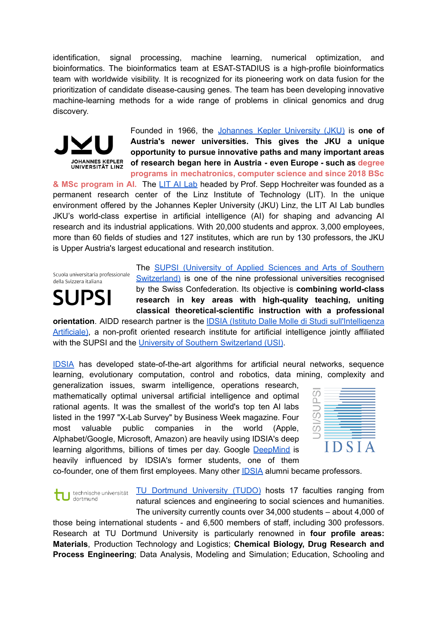identification, signal processing, machine learning, numerical optimization, and bioinformatics. The bioinformatics team at ESAT-STADIUS is a high-profile bioinformatics team with worldwide visibility. It is recognized for its pioneering work on data fusion for the prioritization of candidate disease-causing genes. The team has been developing innovative machine-learning methods for a wide range of problems in clinical genomics and drug discovery.



Founded in 1966, the Johannes Kepler [University](https://www.jku.at/) (JKU) is **one of Austria's newer universities. This gives the JKU a unique opportunity to pursue innovative paths and many important areas of research began here in Austria - even Europe - such as degree programs in mechatronics, computer science and since 2018 BSc**

**& MSc program in AI.** The LIT AI [Lab](https://www.jku.at/en/linz-institute-of-technology/research/research-labs/artificial-intelligence-laboratory/) headed by Prof. Sepp Hochreiter was founded as a permanent research center of the Linz Institute of Technology (LIT). In the unique environment offered by the Johannes Kepler University (JKU) Linz, the LIT AI Lab bundles JKU's world-class expertise in artificial intelligence (AI) for shaping and advancing AI research and its industrial applications. With 20,000 students and approx. 3,000 employees, more than 60 fields of studies and 127 institutes, which are run by 130 professors, the JKU is Upper Austria's largest educational and research institution.

Scuola universitaria professionale della Svizzera italiana

## **SUPSI**

The SUPSI [\(University](http://www.supsi.ch/) of Applied Sciences and Arts of Southern [Switzerland\)](http://www.supsi.ch/) is one of the nine professional universities recognised by the Swiss Confederation. Its objective is **combining world-class research in key areas with high-quality teaching, uniting classical theoretical-scientific instruction with a professional**

**orientation**. AIDD research partner is the IDSIA (Istituto Dalle Molle di Studi [sull'Intelligenza](http://www.idsia.ch/) [Artificiale\)](http://www.idsia.ch/), a non-profit oriented research institute for artificial intelligence jointly affiliated with the SUPSI and the University of Southern [Switzerland](https://www.usi.ch/en) (USI).

[IDSIA](https://www.idsia.ch/) has developed state-of-the-art algorithms for artificial neural networks, sequence learning, evolutionary computation, control and robotics, data mining, complexity and

generalization issues, swarm intelligence, operations research, mathematically optimal universal artificial intelligence and optimal rational agents. It was the smallest of the world's top ten AI labs listed in the 1997 "X-Lab Survey" by Business Week magazine. Four most valuable public companies in the world (Apple, Alphabet/Google, Microsoft, Amazon) are heavily using IDSIA's deep learning algorithms, billions of times per day. Google [DeepMind](http://deepmind.com/) is heavily influenced by IDSIA's former students, one of them



co-founder, one of them first employees. Many other [IDSIA](http://www.idsia.ch/) alumni became professors.

TU [Dortmund](https://www.tu-dortmund.de/en/) University (TUDO) hosts 17 faculties ranging from technische universität dortmund natural sciences and engineering to social sciences and humanities. The university currently counts over 34,000 students – about 4,000 of

those being international students - and 6,500 members of staff, including 300 professors. Research at TU Dortmund University is particularly renowned in **four profile areas: Materials**, Production Technology and Logistics; **Chemical Biology, Drug Research and Process Engineering**; Data Analysis, Modeling and Simulation; Education, Schooling and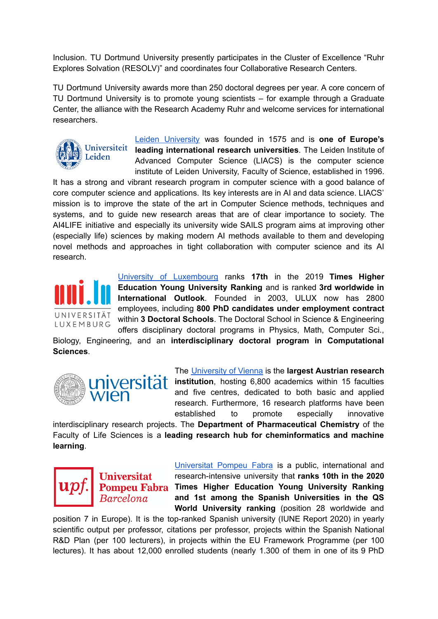Inclusion. TU Dortmund University presently participates in the Cluster of Excellence "Ruhr Explores Solvation (RESOLV)" and coordinates four Collaborative Research Centers.

TU Dortmund University awards more than 250 doctoral degrees per year. A core concern of TU Dortmund University is to promote young scientists – for example through a Graduate Center, the alliance with the Research Academy Ruhr and welcome services for international researchers.



Leiden [University](https://www.universiteitleiden.nl/en) was founded in 1575 and is **one of Europe's leading international research universities**. The Leiden Institute of Advanced Computer Science (LIACS) is the computer science institute of Leiden University, Faculty of Science, established in 1996.

It has a strong and vibrant research program in computer science with a good balance of core computer science and applications. Its key interests are in AI and data science. LIACS' mission is to improve the state of the art in Computer Science methods, techniques and systems, and to guide new research areas that are of clear importance to society. The AI4LIFE initiative and especially its university wide SAILS program aims at improving other (especially life) sciences by making modern AI methods available to them and developing novel methods and approaches in tight collaboration with computer science and its AI research.



University of [Luxembourg](https://wwwen.uni.lu/) ranks **17th** in the 2019 **Times Higher Education Young University Ranking** and is ranked **3rd worldwide in International Outlook**. Founded in 2003, ULUX now has 2800 employees, including **800 PhD candidates under employment contract** within **3 Doctoral Schools**. The Doctoral School in Science & Engineering offers disciplinary doctoral programs in Physics, Math, Computer Sci.,

Biology, Engineering, and an **interdisciplinary doctoral program in Computational Sciences**.



The [University](https://www.univie.ac.at/en/) of Vienna is the **largest Austrian research** *Versitat* institution, hosting 6,800 academics within 15 faculties and five centres, dedicated to both basic and applied research. Furthermore, 16 research platforms have been established to promote especially innovative

interdisciplinary research projects. The **Department of Pharmaceutical Chemistry** of the Faculty of Life Sciences is a **leading research hub for cheminformatics and machine learning**.



**Universitat** Barcelona

[Universitat](http://www.upf.edu/) Pompeu Fabra is a public, international and research-intensive university that **ranks 10th in the 2020 Pompeu Fabra** Times Higher Education Young University Ranking **and 1st among the Spanish Universities in the QS World University ranking** (position 28 worldwide and

position 7 in Europe). It is the top-ranked Spanish university (IUNE Report 2020) in yearly scientific output per professor, citations per professor, projects within the Spanish National R&D Plan (per 100 lecturers), in projects within the EU Framework Programme (per 100 lectures). It has about 12,000 enrolled students (nearly 1.300 of them in one of its 9 PhD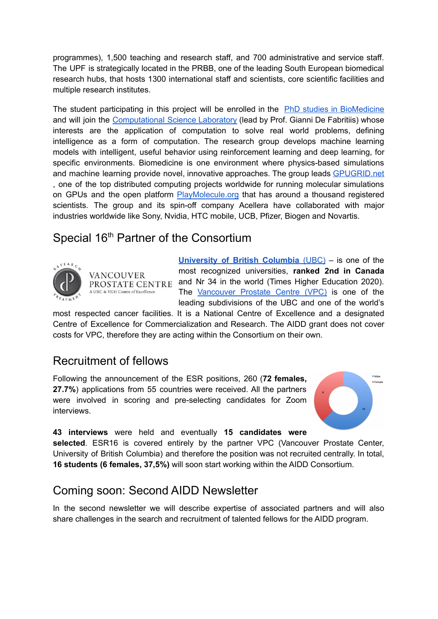programmes), 1,500 teaching and research staff, and 700 administrative and service staff. The UPF is strategically located in the PRBB, one of the leading South European biomedical research hubs, that hosts 1300 international staff and scientists, core scientific facilities and multiple research institutes.

The student participating in this project will be enrolled in the PhD studies in [BioMedicine](https://www.upf.edu/web/phd-biomedicine) and will join the [Computational](https://www.compscience.org/) Science Laboratory (lead by Prof. Gianni De Fabritiis) whose interests are the application of computation to solve real world problems, defining intelligence as a form of computation. The research group develops machine learning models with intelligent, useful behavior using reinforcement learning and deep learning, for specific environments. Biomedicine is one environment where physics-based simulations and machine learning provide novel, innovative approaches. The group leads [GPUGRID.net](http://gpugrid.net/) , one of the top distributed computing projects worldwide for running molecular simulations on GPUs and the open platform **[PlayMolecule.org](http://playmolecule.org/)** that has around a thousand registered scientists. The group and its spin-off company Acellera have collaborated with major industries worldwide like Sony, Nvidia, HTC mobile, UCB, Pfizer, Biogen and Novartis.

### Special 16<sup>th</sup> Partner of the Consortium



VANCOUVER A UBC & VGH Centre of Excellence

**[University](https://www.ubc.ca/) of British Columbia** (UBC) – is one of the most recognized universities, **ranked 2nd in Canada** PROSTATE CENTRE and Nr 34 in the world (Times Higher Education 2020). The [Vancouver](https://www.prostatecentre.com/) Prostate Centre (VPC) is one of the leading subdivisions of the UBC and one of the world's

most respected cancer facilities. It is a National Centre of Excellence and a designated Centre of Excellence for Commercialization and Research. The AIDD grant does not cover costs for VPC, therefore they are acting within the Consortium on their own.

#### Recruitment of fellows

Following the announcement of the ESR positions, 260 (**72 females, 27.7%**) applications from 55 countries were received. All the partners were involved in scoring and pre-selecting candidates for Zoom interviews.



**43 interviews** were held and eventually **15 candidates were**

**selected**. ESR16 is covered entirely by the partner VPC (Vancouver Prostate Center, University of British Columbia) and therefore the position was not recruited centrally. In total, **16 students (6 females, 37,5%)** will soon start working within the AIDD Consortium.

### Coming soon: Second AIDD Newsletter

In the second newsletter we will describe expertise of associated partners and will also share challenges in the search and recruitment of talented fellows for the AIDD program.